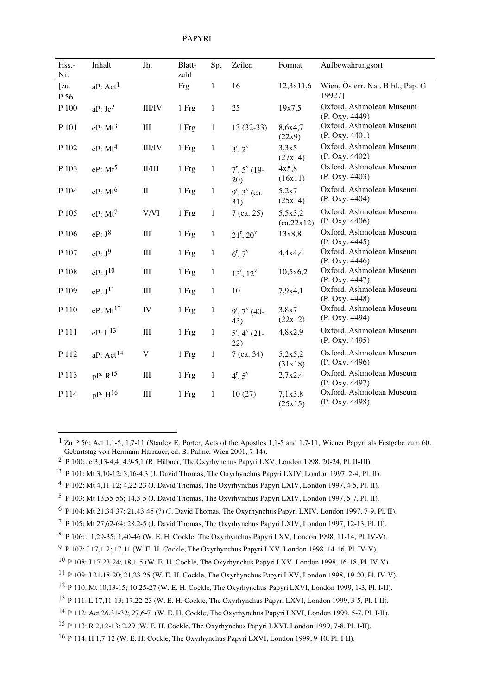| Hss.-<br>Nr.         | Inhalt                | Jh.                | Blatt-<br>zahl | Sp.          | Zeilen                                 | Format                | Aufbewahrungsort                           |
|----------------------|-----------------------|--------------------|----------------|--------------|----------------------------------------|-----------------------|--------------------------------------------|
| [zu<br>P 56          | aP: Act <sup>1</sup>  |                    | Frg            | $\mathbf{1}$ | 16                                     | 12,3x11,6             | Wien, Österr. Nat. Bibl., Pap. G<br>19927] |
| $\boldsymbol{P}$ 100 | aP: Jc <sup>2</sup>   | <b>III/IV</b>      | 1 Frg          | $\mathbf{1}$ | 25                                     | 19x7,5                | Oxford, Ashmolean Museum<br>(P. Oxy. 4449) |
| P 101                | $eP: Mt^3$            | $\rm III$          | 1 Frg          | $\mathbf{1}$ | $13(32-33)$                            | 8,6x4,7<br>(22x9)     | Oxford, Ashmolean Museum<br>(P. Oxy. 4401) |
| P 102                | eP: Mt <sup>4</sup>   | <b>III/IV</b>      | 1 Frg          | 1            | $3^{r}, 2^{v}$                         | 3,3x5<br>(27x14)      | Oxford, Ashmolean Museum<br>(P. Oxy. 4402) |
| P 103                | $eP: Mt^5$            | $\rm II/III$       | 1 Frg          | $\mathbf{1}$ | $7^{\rm r}, 5^{\rm v}$ (19-<br>20)     | 4x5,8<br>(16x11)      | Oxford, Ashmolean Museum<br>(P. Oxy. 4403) |
| P 104                | eP: $Mt^6$            | $\rm II$           | 1 Frg          | $\mathbf{1}$ | $9^r$ , $3^v$ (ca.<br>31)              | 5,2x7<br>(25x14)      | Oxford, Ashmolean Museum<br>(P. Oxy. 4404) |
| P 105                | $eP: Mt^7$            | V/VI               | 1 Frg          | $\mathbf{1}$ | $7$ (ca. 25)                           | 5,5x3,2<br>(ca.22x12) | Oxford, Ashmolean Museum<br>(P. Oxy. 4406) |
| P 106                | $eP: J^8$             | $\rm III$          | 1 Frg          | $\mathbf{1}$ | $21^{\rm r}, 20^{\rm v}$               | 13x8,8                | Oxford, Ashmolean Museum<br>(P. Oxy. 4445) |
| P 107                | eP: J <sup>9</sup>    | $\rm III$          | 1 Frg          | $\mathbf{1}$ | $6^{r}$ , $7^{v}$                      | 4,4x4,4               | Oxford, Ashmolean Museum<br>(P. Oxy. 4446) |
| P 108                | eP: J <sup>10</sup>   | $\rm III$          | 1 Frg          | $\mathbf{1}$ | $13^r, 12^v$                           | 10,5x6,2              | Oxford, Ashmolean Museum<br>(P. Oxy. 4447) |
| P 109                | eP: J <sup>11</sup>   | $\mathop{\rm III}$ | 1 Frg          | $\mathbf{1}$ | 10                                     | 7,9x4,1               | Oxford, Ashmolean Museum<br>(P. Oxy. 4448) |
| P 110                | eP: $Mt^{12}$         | IV                 | 1 Frg          | $\mathbf{1}$ | $9^{\rm r}$ , 7 $^{\rm v}$ (40-<br>43) | 3,8x7<br>(22x12)      | Oxford, Ashmolean Museum<br>(P. Oxy. 4494) |
| P 111                | $eP: L^{13}$          | $\rm III$          | 1 Frg          | $\mathbf{1}$ | $5^{\rm r}, 4^{\rm v}$ (21-<br>22)     | 4,8x2,9               | Oxford, Ashmolean Museum<br>(P. Oxy. 4495) |
| P 112                | aP: Act <sup>14</sup> | $\mathbf V$        | 1 Frg          | $\mathbf{1}$ | 7 (ca. 34)                             | 5,2x5,2<br>(31x18)    | Oxford, Ashmolean Museum<br>(P. Oxy. 4496) |
| P 113                | pP: R <sup>15</sup>   | $\rm III$          | 1 Frg          | $\mathbf{1}$ | $4^{r}, 5^{v}$                         | 2,7x2,4               | Oxford, Ashmolean Museum<br>(P. Oxy. 4497) |
| P 114                | $pP: H^{16}$          | $\rm III$          | 1 Frg          | $\mathbf{1}$ | 10(27)                                 | 7,1x3,8<br>(25x15)    | Oxford, Ashmolean Museum<br>(P. Oxy. 4498) |

1 Zu P 56: Act 1,1-5; 1,7-11 (Stanley E. Porter, Acts of the Apostles 1,1-5 and 1,7-11, Wiener Papyri als Festgabe zum 60. Geburtstag von Hermann Harrauer, ed. B. Palme, Wien 2001, 7-14).

<sup>2</sup> P 100: Jc 3,13-4,4; 4,9-5,1 (R. Hübner, The Oxyrhynchus Papyri LXV, London 1998, 20-24, Pl. II-III).

<sup>3</sup> P 101: Mt 3,10-12; 3,16-4,3 (J. David Thomas, The Oxyrhynchus Papyri LXIV, London 1997, 2-4, Pl. II).

<sup>4</sup> P 102: Mt 4,11-12; 4,22-23 (J. David Thomas, The Oxyrhynchus Papyri LXIV, London 1997, 4-5, Pl. II).

<sup>5</sup> P 103: Mt 13,55-56; 14,3-5 (J. David Thomas, The Oxyrhynchus Papyri LXIV, London 1997, 5-7, Pl. II).

<sup>6</sup> P 104: Mt 21,34-37; 21,43-45 (?) (J. David Thomas, The Oxyrhynchus Papyri LXIV, London 1997, 7-9, Pl. II).

<sup>7</sup> P 105: Mt 27,62-64; 28,2-5 (J. David Thomas, The Oxyrhynchus Papyri LXIV, London 1997, 12-13, Pl. II).

<sup>8</sup> P 106: J 1,29-35; 1,40-46 (W. E. H. Cockle, The Oxyrhynchus Papyri LXV, London 1998, 11-14, Pl. IV-V).

<sup>9</sup> P 107: J 17,1-2; 17,11 (W. E. H. Cockle, The Oxyrhynchus Papyri LXV, London 1998, 14-16, Pl. IV-V).

<sup>10</sup> P 108: J 17,23-24; 18,1-5 (W. E. H. Cockle, The Oxyrhynchus Papyri LXV, London 1998, 16-18, Pl. IV-V).

<sup>11</sup> P 109: J 21,18-20; 21,23-25 (W. E. H. Cockle, The Oxyrhynchus Papyri LXV, London 1998, 19-20, Pl. IV-V).

<sup>12</sup> P 110: Mt 10,13-15; 10,25-27 (W. E. H. Cockle, The Oxyrhynchus Papyri LXVI, London 1999, 1-3, Pl. I-II).

<sup>13</sup> P 111: L 17,11-13; 17,22-23 (W. E. H. Cockle, The Oxyrhynchus Papyri LXVI, London 1999, 3-5, Pl. I-II).

<sup>14</sup> P 112: Act 26,31-32; 27,6-7 (W. E. H. Cockle, The Oxyrhynchus Papyri LXVI, London 1999, 5-7, Pl. I-II).

<sup>15</sup> P 113: R 2,12-13; 2,29 (W. E. H. Cockle, The Oxyrhynchus Papyri LXVI, London 1999, 7-8, Pl. I-II).

<sup>16</sup> P 114: H 1,7-12 (W. E. H. Cockle, The Oxyrhynchus Papyri LXVI, London 1999, 9-10, Pl. I-II).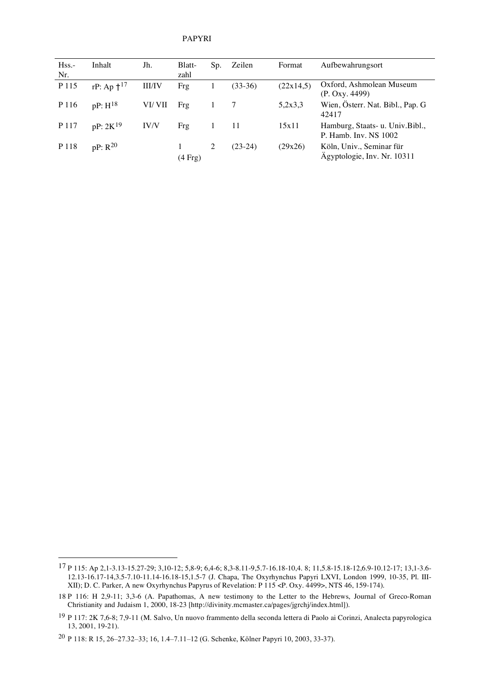| $H$ ss.-<br>Nr. | Inhalt           | Jh.           | Blatt-<br>zahl    | Sp. | Zeilen    | Format    | Aufbewahrungsort                                          |
|-----------------|------------------|---------------|-------------------|-----|-----------|-----------|-----------------------------------------------------------|
| P 115           | $rP: Ap + ^{17}$ | <b>III/IV</b> | Frg               |     | $(33-36)$ | (22x14,5) | Oxford, Ashmolean Museum<br>(P. Oxy. 4499)                |
| P 116           | $pP: H^{18}$     | VI/ VII       | Frg               |     |           | 5,2x3,3   | Wien, Österr. Nat. Bibl., Pap. G<br>42417                 |
| P 117           | $pP: 2K^{19}$    | IV/V          | Frg               |     | -11       | 15x11     | Hamburg, Staats- u. Univ. Bibl.,<br>P. Hamb. Inv. NS 1002 |
| P 118           | $pP: R^{20}$     |               | $(4 \text{ Frg})$ | 2   | $(23-24)$ | (29x26)   | Köln, Univ., Seminar für<br>Ägyptologie, Inv. Nr. 10311   |

<sup>17</sup> P 115: Ap 2,1-3.13-15.27-29; 3,10-12; 5,8-9; 6,4-6; 8,3-8.11-9,5.7-16.18-10,4. 8; 11,5.8-15.18-12,6.9-10.12-17; 13,1-3.6- 12.13-16.17-14,3.5-7.10-11.14-16.18-15,1.5-7 (J. Chapa, The Oxyrhynchus Papyri LXVI, London 1999, 10-35, Pl. III-XII); D. C. Parker, A new Oxyrhynchus Papyrus of Revelation: P 115 <P. Oxy. 4499>, NTS 46, 159-174).

<sup>18</sup> P 116: H 2,9-11; 3,3-6 (A. Papathomas, A new testimony to the Letter to the Hebrews, Journal of Greco-Roman Christianity and Judaism 1, 2000, 18-23 [http://divinity.mcmaster.ca/pages/jgrchj/index.html]).

<sup>19</sup> P 117: 2K 7,6-8; 7,9-11 (M. Salvo, Un nuovo frammento della seconda lettera di Paolo ai Corinzi, Analecta papyrologica 13, 2001, 19-21).

<sup>20</sup> P 118: R 15, 26–27.32–33; 16, 1.4–7.11–12 (G. Schenke, Kölner Papyri 10, 2003, 33-37).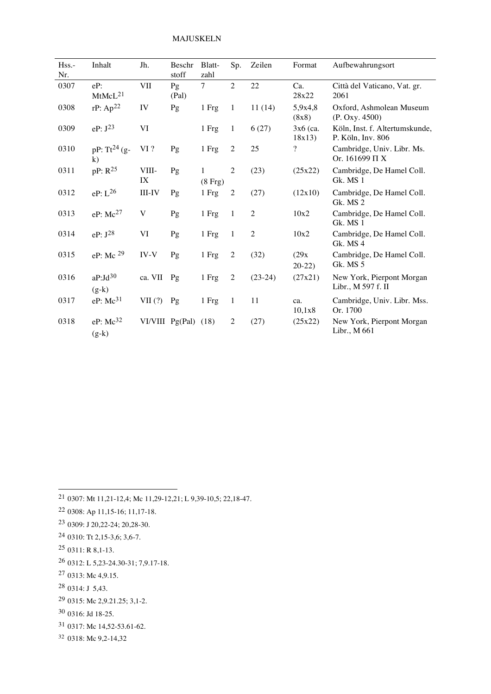| $Hss. -$<br>Nr. | Inhalt                          | Jh.           | Beschr<br>stoff   | Blatt-<br>zahl         | Sp.          | Zeilen         | Format               | Aufbewahrungsort                                    |
|-----------------|---------------------------------|---------------|-------------------|------------------------|--------------|----------------|----------------------|-----------------------------------------------------|
| 0307            | $eP$ :<br>$M$ t $McL21$         | <b>VII</b>    | Pg<br>(Pal)       | $\tau$                 | 2            | 22             | Ca.<br>28x22         | Città del Vaticano, Vat. gr.<br>2061                |
| 0308            | rP:Ap <sup>22</sup>             | IV            | Pg                | 1 Frg                  | 1            | 11(14)         | 5,9x4,8<br>(8x8)     | Oxford, Ashmolean Museum<br>(P. Oxy. 4500)          |
| 0309            | $eP: J^{23}$                    | VI            |                   | 1 Frg                  | 1            | 6(27)          | $3x6$ (ca.<br>18x13) | Köln, Inst. f. Altertumskunde,<br>P. Köln, Inv. 806 |
| 0310            | $pP: Tt^{24}$ (g-<br>$\bf k$ )  | $\mbox{VI}$ ? | Pg                | 1 Frg                  | 2            | 25             | ?                    | Cambridge, Univ. Libr. Ms.<br>Or. 161699 $\Pi X$    |
| 0311            | pP: R <sup>25</sup>             | VIII-<br>IX   | Pg                | 1<br>$(8 \text{ Frg})$ | 2            | (23)           | (25x22)              | Cambridge, De Hamel Coll.<br><b>Gk. MS 1</b>        |
| 0312            | $eP: L^{26}$                    | <b>III-IV</b> | Pg                | 1 Frg                  | 2            | (27)           | (12x10)              | Cambridge, De Hamel Coll.<br>Gk. MS 2               |
| 0313            | eP: $Mc^{27}$                   | V             | Pg                | 1 Frg                  | -1           | 2              | 10x2                 | Cambridge, De Hamel Coll.<br>Gk. MS 1               |
| 0314            | $eP: J^{28}$                    | VI            | Pg                | 1 Frg                  | $\mathbf{1}$ | $\overline{2}$ | 10x2                 | Cambridge, De Hamel Coll.<br>Gk. MS 4               |
| 0315            | eP: Mc <sup>29</sup>            | $IV-V$        | Pg                | 1 Frg                  | 2            | (32)           | (29x)<br>$20-22$     | Cambridge, De Hamel Coll.<br><b>Gk. MS 5</b>        |
| 0316            | $aP:Jd^{30}$<br>$(g-k)$         | ca. VII       | Pg                | 1 Frg                  | 2            | $(23-24)$      | (27x21)              | New York, Pierpont Morgan<br>Libr., M 597 f. II     |
| 0317            | eP: $Mc^{31}$                   | VII(?)        | Pg                | 1 Frg                  | 1            | 11             | ca.<br>10,1x8        | Cambridge, Univ. Libr. Mss.<br>Or. 1700             |
| 0318            | eP: Mc <sup>32</sup><br>$(g-k)$ |               | $VI/VIII$ Pg(Pal) | (18)                   | 2            | (27)           | (25x22)              | New York, Pierpont Morgan<br>Libr., M 661           |

- 21 0307: Mt 11,21-12,4; Mc 11,29-12,21; L 9,39-10,5; 22,18-47.
- 22 0308: Ap 11,15-16; 11,17-18.
- 23 0309: J 20,22-24; 20,28-30.
- 24 0310: Tt 2,15-3,6; 3,6-7.
- 25 0311: R 8,1-13.

- 26 0312: L 5,23-24.30-31; 7,9.17-18.
- 27 0313: Mc 4,9.15.
- 28 0314: J 5,43.
- 29 0315: Mc 2,9.21.25; 3,1-2.
- 30 0316: Jd 18-25.
- 31 0317: Mc 14,52-53.61-62.
- <sup>32</sup> 0318: Mc 9,2-14,32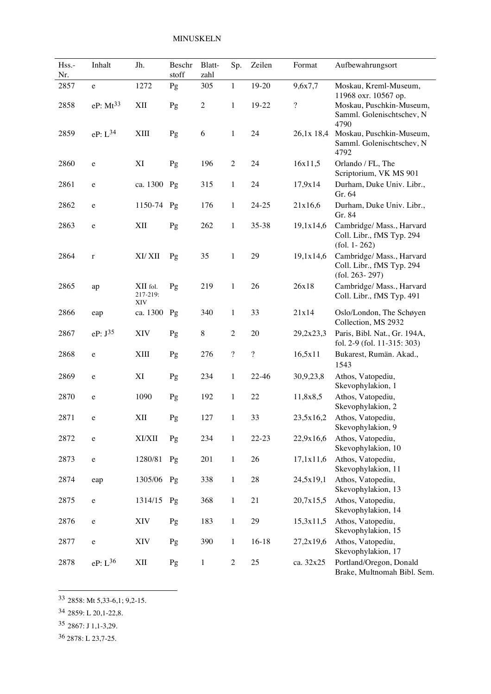| Hss.-<br>Nr. | Inhalt        | Jh.                         | Beschr<br>stoff        | Blatt-<br>zahl | Sp.              | Zeilen           | Format             | Aufbewahrungsort                                                             |
|--------------|---------------|-----------------------------|------------------------|----------------|------------------|------------------|--------------------|------------------------------------------------------------------------------|
| 2857         | e             | 1272                        | Pg                     | 305            | $\mathbf{1}$     | 19-20            | 9,6x7,7            | Moskau, Kreml-Museum,<br>11968 oxr. 10567 op.                                |
| 2858         | eP: $Mt^{33}$ | XII                         | Pg                     | $\overline{c}$ | $\mathbf{1}$     | 19-22            | $\overline{\cdot}$ | Moskau, Puschkin-Museum,<br>Samml. Golenischtschev, N<br>4790                |
| 2859         | $eP: L^{34}$  | XIII                        | Pg                     | 6              | 1                | 24               | 26,1x 18,4         | Moskau, Puschkin-Museum,<br>Samml. Golenischtschev, N<br>4792                |
| 2860         | e             | XI                          | Pg                     | 196            | $\overline{2}$   | 24               | 16x11,5            | Orlando / FL, The<br>Scriptorium, VK MS 901                                  |
| 2861         | $\mathbf e$   | ca. 1300 Pg                 |                        | 315            | $\mathbf{1}$     | 24               | 17,9x14            | Durham, Duke Univ. Libr.,<br>Gr. 64                                          |
| 2862         | $\mathbf e$   | 1150-74 Pg                  |                        | 176            | $\mathbf{1}$     | 24-25            | 21x16,6            | Durham, Duke Univ. Libr.,<br>Gr. 84                                          |
| 2863         | e             | XII                         | Pg                     | 262            | $\mathbf{1}$     | 35-38            | 19,1x14,6          | Cambridge/ Mass., Harvard<br>Coll. Libr., fMS Typ. 294<br>$(fol. 1 - 262)$   |
| 2864         | $\bf r$       | XI/XII                      | Pg                     | 35             | 1                | 29               | 19,1x14,6          | Cambridge/ Mass., Harvard<br>Coll. Libr., fMS Typ. 294<br>$(fol. 263 - 297)$ |
| 2865         | ap            | XII fol.<br>217-219:<br>XIV | Pg                     | 219            | $\mathbf{1}$     | 26               | 26x18              | Cambridge/ Mass., Harvard<br>Coll. Libr., fMS Typ. 491                       |
| 2866         | eap           | ca. 1300                    | Pg                     | 340            | $\mathbf{1}$     | 33               | 21x14              | Oslo/London, The Schøyen<br>Collection, MS 2932                              |
| 2867         | eP: $J^{35}$  | XIV                         | Pg                     | 8              | $\overline{c}$   | 20               | 29,2x23,3          | Paris, Bibl. Nat., Gr. 194A,<br>fol. 2-9 (fol. 11-315: 303)                  |
| 2868         | ${\bf e}$     | XIII                        | Pg                     | 276            | $\boldsymbol{?}$ | $\boldsymbol{?}$ | 16,5x11            | Bukarest, Rumän. Akad.,<br>1543                                              |
| 2869         | e             | XI                          | $\mathbf{P}\mathbf{g}$ | 234            | $\mathbf{1}$     | $22 - 46$        | 30,9,23,8          | Athos, Vatopediu,<br>Skevophylakion, 1                                       |
| 2870         | e             | 1090                        | Pg                     | 192            | $\mathbf{1}$     | 22               | 11,8x8,5           | Athos, Vatopediu,<br>Skevophylakion, 2                                       |
| 2871         | e             | XII                         | Pg                     | 127            | $\mathbf{1}$     | 33               | 23,5x16,2          | Athos, Vatopediu,<br>Skevophylakion, 9                                       |
| 2872         | e             | XI/XII                      | Pg                     | 234            | $\mathbf{1}$     | $22 - 23$        | 22,9x16,6          | Athos, Vatopediu,<br>Skevophylakion, 10                                      |
| 2873         | ${\bf e}$     | 1280/81                     | Pg                     | 201            | $\mathbf{1}$     | 26               | 17,1x11,6          | Athos, Vatopediu,<br>Skevophylakion, 11                                      |
| 2874         | eap           | 1305/06                     | Pg                     | 338            | $\mathbf{1}$     | 28               | 24,5x19,1          | Athos, Vatopediu,<br>Skevophylakion, 13                                      |
| 2875         | ${\bf e}$     | 1314/15                     | Pg                     | 368            | $\mathbf{1}$     | 21               | 20,7x15,5          | Athos, Vatopediu,<br>Skevophylakion, 14                                      |
| 2876         | e             | XIV                         | Pg                     | 183            | $\mathbf{1}$     | 29               | 15,3x11,5          | Athos, Vatopediu,<br>Skevophylakion, 15                                      |
| 2877         | $\rm e$       | XIV                         | Pg                     | 390            | $\mathbf{1}$     | $16 - 18$        | 27,2x19,6          | Athos, Vatopediu,<br>Skevophylakion, 17                                      |
| 2878         | eP: $L^{36}$  | XII                         | Pg                     | $\mathbf{1}$   | $\overline{2}$   | 25               | ca. 32x25          | Portland/Oregon, Donald<br>Brake, Multnomah Bibl. Sem.                       |

<sup>33</sup> 2858: Mt 5,33-6,1; 9,2-15.

34 2859: L 20,1-22,8.

- 35 2867: J 1,1-3,29.
- 36 2878: L 23,7-25.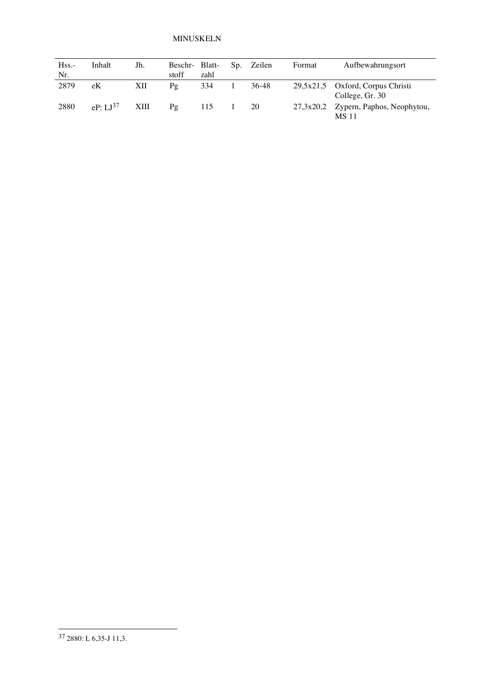## MINUSKELN

| $H$ ss.- | Inhalt              | Jh.         | Beschr- Blatt- |      | Sp. | Zeilen  | Format    | Aufbewahrungsort                                      |
|----------|---------------------|-------------|----------------|------|-----|---------|-----------|-------------------------------------------------------|
| Nr.      |                     |             | stoff          | zahl |     |         |           |                                                       |
| 2879     | eK                  | XII         | Pg             | 334  |     | $36-48$ |           | $29,5x21,5$ Oxford, Corpus Christi<br>College, Gr. 30 |
| 2880     | eP: L <sup>37</sup> | <b>XIII</b> | Pg             | 115  |     | 20      | 27,3x20,2 | Zypern, Paphos, Neophytou,<br><b>MS</b> 11            |

<sup>37</sup> 2880: L 6,35-J 11,3.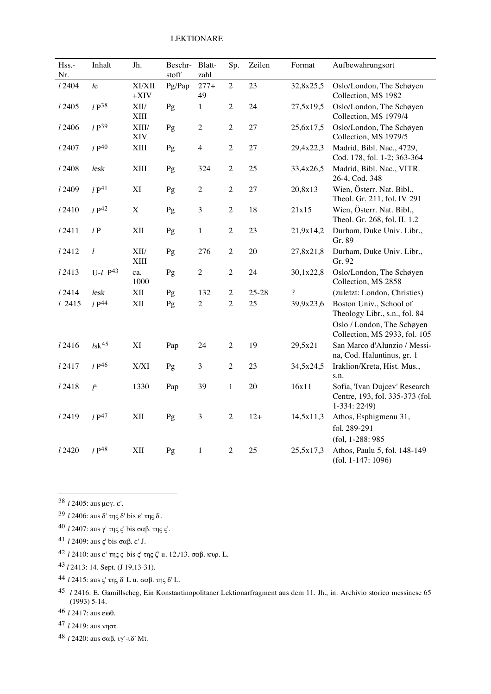| Hss.-<br>Nr. | Inhalt               | Jh.                          | Beschr-<br>stoff | Blatt-<br>zahl | Sp.            | Zeilen    | Format             | Aufbewahrungsort                                                                 |
|--------------|----------------------|------------------------------|------------------|----------------|----------------|-----------|--------------------|----------------------------------------------------------------------------------|
| 12404        | le                   | XI/XII<br>$+XIV$             | Pg/Pap           | $277+$<br>49   | $\overline{2}$ | 23        | 32,8x25,5          | Oslo/London, The Schøyen<br>Collection, MS 1982                                  |
| 12405        | $l\,\mathrm{P}^{38}$ | XII/<br>XIII                 | Pg               | 1              | $\overline{2}$ | 24        | 27,5x19,5          | Oslo/London, The Schøyen<br>Collection, MS 1979/4                                |
| 12406        | lP <sup>39</sup>     | XIII/<br>XIV                 | Pg               | $\mathbf{2}$   | $\overline{2}$ | 27        | 25,6x17,5          | Oslo/London, The Schøyen<br>Collection, MS 1979/5                                |
| 12407        | $lP^{40}$            | <b>XIII</b>                  | Pg               | $\overline{4}$ | $\overline{2}$ | 27        | 29,4x22,3          | Madrid, Bibl. Nac., 4729,<br>Cod. 178, fol. 1-2; 363-364                         |
| 12408        | lesk                 | <b>XIII</b>                  | Pg               | 324            | $\overline{2}$ | 25        | 33,4x26,5          | Madrid, Bibl. Nac., VITR.<br>26-4, Cod. 348                                      |
| 12409        | lP <sup>41</sup>     | XI                           | Pg               | $\mathbf{2}$   | $\mathbf{2}$   | 27        | 20,8x13            | Wien, Österr. Nat. Bibl.,<br>Theol. Gr. 211, fol. IV 291                         |
| 12410        | lP <sup>42</sup>     | $\boldsymbol{\mathrm{X}}$    | Pg               | 3              | $\overline{2}$ | 18        | 21x15              | Wien, Österr. Nat. Bibl.,<br>Theol. Gr. 268, fol. II. 1.2                        |
| 12411        | lP                   | XII                          | Pg               | $\mathbf{1}$   | $\overline{2}$ | 23        | 21,9x14,2          | Durham, Duke Univ. Libr.,<br>Gr. 89                                              |
| 12412        | l                    | $\bold{XII}/$<br><b>XIII</b> | Pg               | 276            | $\overline{2}$ | 20        | 27,8x21,8          | Durham, Duke Univ. Libr.,<br>Gr. 92                                              |
| 12413        | $U-l$ $P43$          | ca.<br>1000                  | Pg               | $\overline{2}$ | $\overline{2}$ | 24        | 30,1x22,8          | Oslo/London, The Schøyen<br>Collection, MS 2858                                  |
| 12414        | lesk                 | XII                          | Pg               | 132            | $\overline{2}$ | $25 - 28$ | $\overline{\cdot}$ | (zuletzt: London, Christies)                                                     |
| 12415        | lP44                 | XII                          | Pg               | $\overline{c}$ | $\overline{2}$ | 25        | 39,9x23,6          | Boston Univ., School of<br>Theology Libr., s.n., fol. 84                         |
|              |                      |                              |                  |                |                |           |                    | Oslo / London, The Schøyen<br>Collection, MS 2933, fol. 105                      |
| 12416        | $l$ sk <sup>45</sup> | XI                           | Pap              | 24             | $\overline{2}$ | 19        | 29,5x21            | San Marco d'Alunzio / Messi-<br>na, Cod. Haluntinus, gr. 1                       |
| 12417        | lP46                 | X/XI                         | Pg               | 3              | 2              | 23        | 34,5x24,5          | Iraklion/Kreta, Hist. Mus.,<br>s.n.                                              |
| 12418        | $l^{\rm a}$          | 1330                         | Pap              | 39             | $\mathbf{1}$   | 20        | 16x11              | Sofia, 'Ivan Dujcev' Research<br>Centre, 193, fol. 335-373 (fol.<br>$1-334:2249$ |
| 12419        | $lP^{47}$            | XII                          | Pg               | 3              | $\mathbf{2}$   | $12+$     | 14,5x11,3          | Athos, Esphigmenu 31,<br>fol. 289-291<br>(fol, 1-288: 985                        |
| 12420        | lP48                 | XII                          | Pg               | 1              | 2              | 25        | 25,5x17,3          | Athos, Paulu 5, fol. 148-149<br>$(fol. 1-147: 1096)$                             |

<sup>38</sup> *l* 2405: aus μεγ. ε'.

 $39$  *l* 2406: aus δ' της δ' bis ε' της δ'.

 $40$  *l* 2407: aus γ' της ς' bis σαβ. της ς'.

<sup>&</sup>lt;sup>41</sup> *l* 2409: aus ς' bis σαβ. ε' J.

<sup>&</sup>lt;sup>42</sup> *l* 2410: aus ε' της ς' bis ς' της ζ' u. 12./13. σαβ. κυρ. L.

<sup>43</sup> *l* 2413: 14. Sept. (J 19,13-31).

<sup>&</sup>lt;sup>44</sup> *l* 2415: aus ς' της δ' L u. σαβ. της δ' L.

<sup>45</sup> *l* 2416: E. Gamillscheg, Ein Konstantinopolitaner Lektionarfragment aus dem 11. Jh., in: Archivio storico messinese 65 (1993) 5-14.

<sup>46</sup> *l* 2417: aus ewq.

<sup>&</sup>lt;sup>47</sup> *l* 2419: aus νηστ.

<sup>&</sup>lt;sup>48</sup> *l* 2420: aus σαβ. ιγ'-ιδ' Mt.